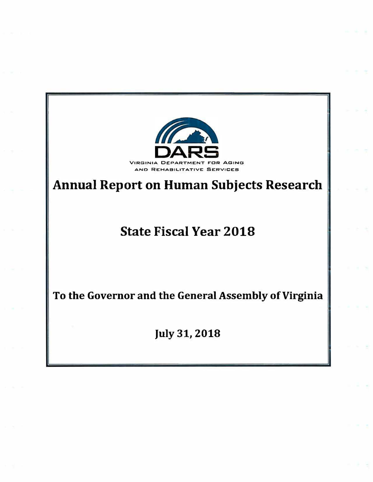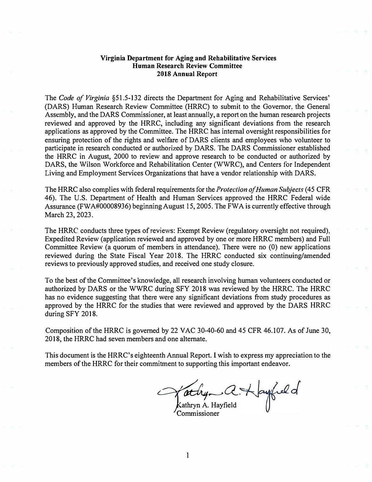## **Virginia Department for Aging and Rehabilitative Services Human Research Review Committee 2018 Annual Report**

The *Code of Virginia* §51.5-132 directs the Department for Aging and Rehabilitative Services' (DARS) Human Research Review Committee (HRRC) to submit to the Governor, the General Assembly, and the DARS Commissioner, at least annually, a report on the human research projects reviewed and approved by the HRRC, including any significant deviations from the research applications as approved by the Committee. The HRRC has internal oversight responsibilities for ensuring protection of the rights and welfare of DARS clients and employees who volunteer to participate in research conducted or authorized by DARS. The DARS Commissioner established the HRRC in August, 2000 to review and approve research to be conducted or authorized by DARS, the Wilson Workforce and Rehabilitation Center (WWRC), and Centers for Independent Living and Employment Services Organizations that have a vendor relationship with DARS.

The HRRC also complies with federal requirements for the *Protection of Human Subjects* ( 45 CFR 46). The U.S. Department of Health and Human Services approved the HRRC Federal wide Assurance (FWA#00008936) beginning August 15, 2005. The FWA is currently effective through March 23, 2023.

The HRRC conducts three types of reviews: Exempt Review (regulatory oversight not required), Expedited Review (application reviewed and approved by one or more HRRC members) and Full Committee Review (a quorum of members in attendance). There were no (0) new applications reviewed during the State Fiscal Year 2018. The HRRC conducted six continuing/amended reviews to previously approved studies, and received one study closure.

To the best of the Committee's knowledge, all research involving human volunteers conducted or authorized by DARS or the WWRC during SFY 2018 was reviewed by the HRRC. The HRRC has no evidence suggesting that there were any significant deviations from study procedures as approved by the HRRC for the studies that were reviewed and approved by the DARS HRRC during SFY 2018.

Composition of the HRRC is governed by 22 V AC 30-40-60 and 45 CFR 46.107. As of June 30, 2018, the HRRC had seven members and one alternate.

This document is the HRRC's eighteenth Annual Report. I wish to express my appreciation to the members of the HRRC for their commitment to supporting this important endeavor.

*athy* a. Hayfield<br>Commissioner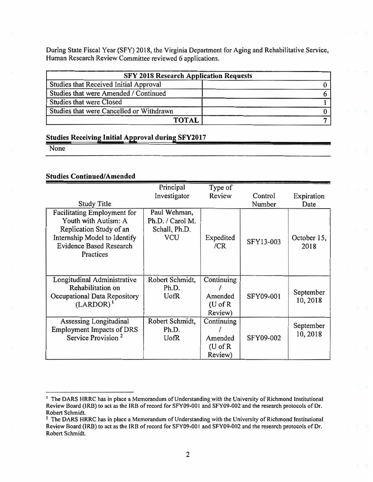During State Fiscal Year (SFY) 2018, the Virginia Department for Aging and Rehabilitative Service, Human Research Review Committee reviewed 6 applications.

| <b>SFY 2018 Research Application Requests</b> |  |  |  |
|-----------------------------------------------|--|--|--|
| Studies that Received Initial Approval        |  |  |  |
| Studies that were Amended / Continued         |  |  |  |
| <b>Studies that were Closed</b>               |  |  |  |
| Studies that were Cancelled or Withdrawn      |  |  |  |
| <b>TOTAL</b>                                  |  |  |  |

## **Studies Receiving Initial Approval during SFY2017**

None

## **Studies Continued/Amended**

|                                                  | Principal        | Type of                    |           |             |
|--------------------------------------------------|------------------|----------------------------|-----------|-------------|
|                                                  | Investigator     | Review                     | Control   | Expiration  |
| <b>Study Title</b>                               |                  |                            | Number    | Date        |
| <b>Facilitating Employment for</b>               | Paul Wehman,     |                            |           |             |
| Youth with Autism: A                             | Ph.D. / Carol M. |                            |           |             |
| Replication Study of an                          | Schall, Ph.D.    |                            |           |             |
| Internship Model to Identify                     | <b>VCU</b>       | Expedited                  | SFY13-003 | October 15, |
| <b>Evidence Based Research</b>                   |                  | /CR                        |           | 2018        |
| Practices                                        |                  |                            |           |             |
|                                                  |                  |                            |           |             |
|                                                  |                  |                            |           |             |
| Longitudinal Administrative<br>Rehabilitation on | Robert Schmidt,  | Continuing                 |           |             |
|                                                  | Ph.D.            | Amended                    | SFY09-001 | September   |
| Occupational Data Repository<br>$(LARDOR)^{1}$   | UofR             |                            |           | 10,2018     |
|                                                  |                  | $(U \circ f R)$<br>Review) |           |             |
|                                                  |                  |                            |           |             |
| Assessing Longitudinal                           | Robert Schmidt,  | Continuing                 |           | September   |
| <b>Employment Impacts of DRS</b>                 | Ph.D.            |                            |           | 10,2018     |
| Service Provision <sup>2</sup>                   | <b>U</b> ofR     | Amended                    | SFY09-002 |             |
|                                                  |                  | $(U \circ f R)$            |           |             |
|                                                  |                  | Review)                    |           |             |

<sup>&</sup>lt;sup>1</sup> The DARS HRRC has in place a Memorandum of Understanding with the University of Richmond Institutional Review Board (IRB) to act as the IRB of record for SFY09-001 and SFY09-002 and the research protocols of Dr. **Robert Schmidt.** 

<sup>2</sup>**The OARS HRRC has in place a Memorandum of Understanding with the University of Richmond Institutional**  Review Board (IRB) to act as the IRB of record for SFY09-001 and SFY09-002 and the research protocols of Dr. **Robert Schmidt.**